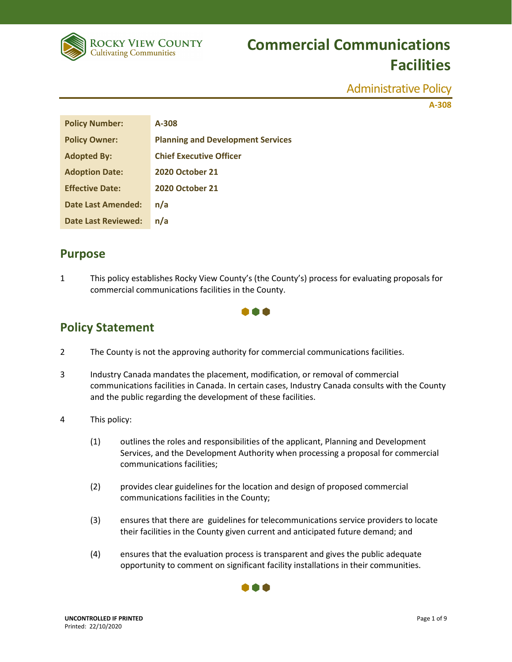

Administrative Policy

**A-308**

| <b>Policy Number:</b>      | A-308                                    |
|----------------------------|------------------------------------------|
| <b>Policy Owner:</b>       | <b>Planning and Development Services</b> |
| <b>Adopted By:</b>         | <b>Chief Executive Officer</b>           |
| <b>Adoption Date:</b>      | <b>2020 October 21</b>                   |
| <b>Effective Date:</b>     | <b>2020 October 21</b>                   |
| Date Last Amended:         | n/a                                      |
| <b>Date Last Reviewed:</b> | n/a                                      |

## **Purpose**

1 This policy establishes Rocky View County's (the County's) process for evaluating proposals for commercial communications facilities in the County.

### 000

## **Policy Statement**

- 2 The County is not the approving authority for commercial communications facilities.
- 3 Industry Canada mandates the placement, modification, or removal of commercial communications facilities in Canada. In certain cases, Industry Canada consults with the County and the public regarding the development of these facilities.
- 4 This policy:
	- (1) outlines the roles and responsibilities of the applicant, Planning and Development Services, and the Development Authority when processing a proposal for commercial communications facilities;
	- (2) provides clear guidelines for the location and design of proposed commercial communications facilities in the County;
	- (3) ensures that there are guidelines for telecommunications service providers to locate their facilities in the County given current and anticipated future demand; and
	- (4) ensures that the evaluation process is transparent and gives the public adequate opportunity to comment on significant facility installations in their communities.

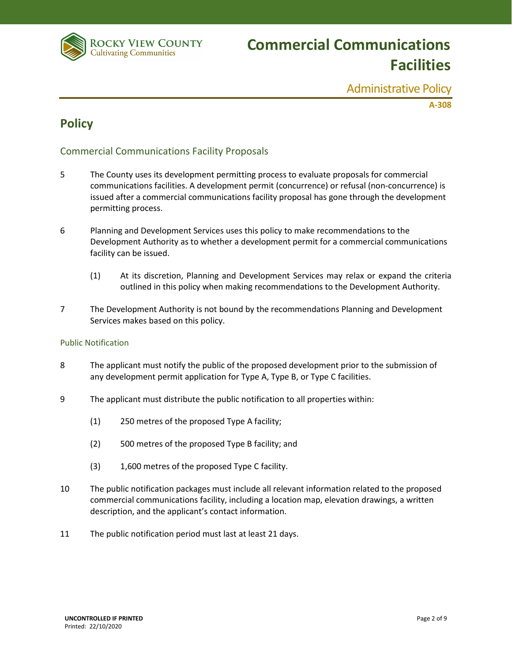

Administrative Policy

**A-308**

## **Policy**

### Commercial Communications Facility Proposals

- 5 The County uses its development permitting process to evaluate proposals for commercial communications facilities. A development permit (concurrence) or refusal (non-concurrence) is issued after a commercial communications facility proposal has gone through the development permitting process.
- 6 Planning and Development Services uses this policy to make recommendations to the Development Authority as to whether a development permit for a commercial communications facility can be issued.
	- (1) At its discretion, Planning and Development Services may relax or expand the criteria outlined in this policy when making recommendations to the Development Authority.
- 7 The Development Authority is not bound by the recommendations Planning and Development Services makes based on this policy.

#### Public Notification

- 8 The applicant must notify the public of the proposed development prior to the submission of any development permit application for Type A, Type B, or Type C facilities.
- 9 The applicant must distribute the public notification to all properties within:
	- (1) 250 metres of the proposed Type A facility;
	- (2) 500 metres of the proposed Type B facility; and
	- (3) 1,600 metres of the proposed Type C facility.
- 10 The public notification packages must include all relevant information related to the proposed commercial communications facility, including a location map, elevation drawings, a written description, and the applicant's contact information.
- 11 The public notification period must last at least 21 days.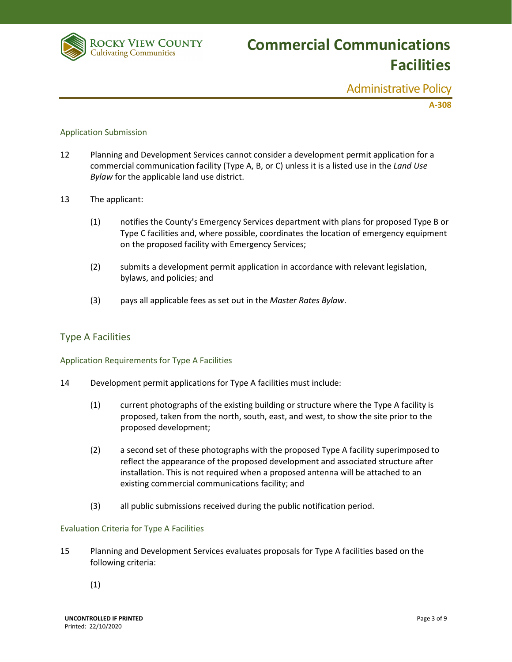

Administrative Policy

**A-308**

#### Application Submission

- 12 Planning and Development Services cannot consider a development permit application for a commercial communication facility (Type A, B, or C) unless it is a listed use in the *Land Use Bylaw* for the applicable land use district.
- 13 The applicant:
	- (1) notifies the County's Emergency Services department with plans for proposed Type B or Type C facilities and, where possible, coordinates the location of emergency equipment on the proposed facility with Emergency Services;
	- (2) submits a development permit application in accordance with relevant legislation, bylaws, and policies; and
	- (3) pays all applicable fees as set out in the *Master Rates Bylaw*.

#### Type A Facilities

#### Application Requirements for Type A Facilities

- 14 Development permit applications for Type A facilities must include:
	- (1) current photographs of the existing building or structure where the Type A facility is proposed, taken from the north, south, east, and west, to show the site prior to the proposed development;
	- (2) a second set of these photographs with the proposed Type A facility superimposed to reflect the appearance of the proposed development and associated structure after installation. This is not required when a proposed antenna will be attached to an existing commercial communications facility; and
	- (3) all public submissions received during the public notification period.

#### Evaluation Criteria for Type A Facilities

- 15 Planning and Development Services evaluates proposals for Type A facilities based on the following criteria:
	- (1)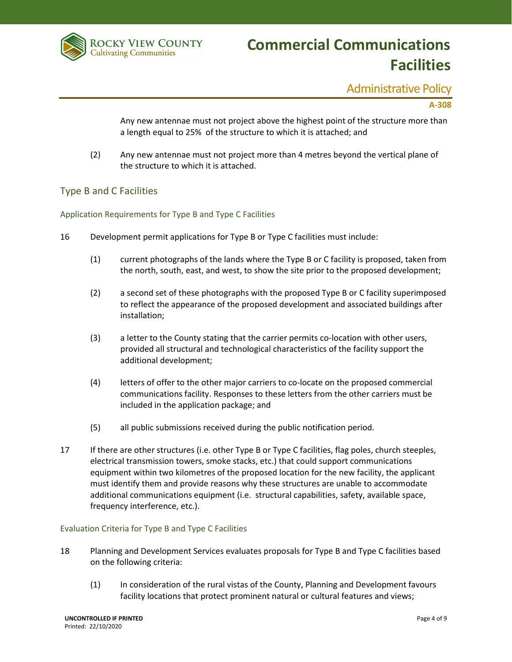

### Administrative Policy

#### **A-308**

Any new antennae must not project above the highest point of the structure more than a length equal to 25% of the structure to which it is attached; and

(2) Any new antennae must not project more than 4 metres beyond the vertical plane of the structure to which it is attached.

#### Type B and C Facilities

Application Requirements for Type B and Type C Facilities

- 16 Development permit applications for Type B or Type C facilities must include:
	- (1) current photographs of the lands where the Type B or C facility is proposed, taken from the north, south, east, and west, to show the site prior to the proposed development;
	- (2) a second set of these photographs with the proposed Type B or C facility superimposed to reflect the appearance of the proposed development and associated buildings after installation;
	- (3) a letter to the County stating that the carrier permits co-location with other users, provided all structural and technological characteristics of the facility support the additional development;
	- (4) letters of offer to the other major carriers to co-locate on the proposed commercial communications facility. Responses to these letters from the other carriers must be included in the application package; and
	- (5) all public submissions received during the public notification period.
- 17 If there are other structures (i.e. other Type B or Type C facilities, flag poles, church steeples, electrical transmission towers, smoke stacks, etc.) that could support communications equipment within two kilometres of the proposed location for the new facility, the applicant must identify them and provide reasons why these structures are unable to accommodate additional communications equipment (i.e. structural capabilities, safety, available space, frequency interference, etc.).

#### Evaluation Criteria for Type B and Type C Facilities

- 18 Planning and Development Services evaluates proposals for Type B and Type C facilities based on the following criteria:
	- (1) In consideration of the rural vistas of the County, Planning and Development favours facility locations that protect prominent natural or cultural features and views;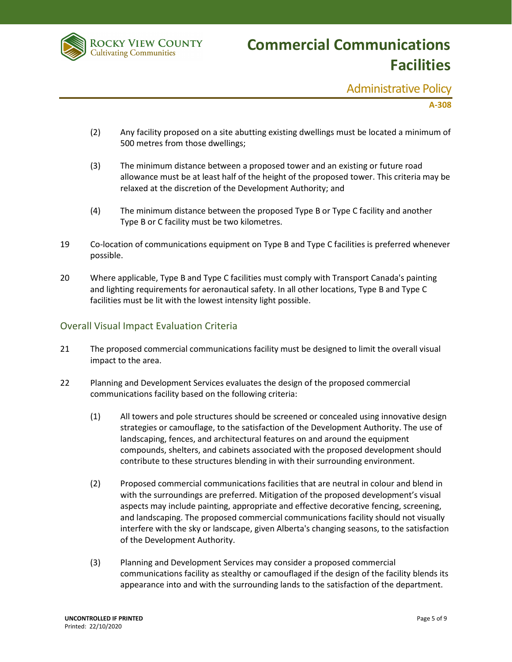

### Administrative Policy

#### **A-308**

- (2) Any facility proposed on a site abutting existing dwellings must be located a minimum of 500 metres from those dwellings;
- (3) The minimum distance between a proposed tower and an existing or future road allowance must be at least half of the height of the proposed tower. This criteria may be relaxed at the discretion of the Development Authority; and
- (4) The minimum distance between the proposed Type B or Type C facility and another Type B or C facility must be two kilometres.
- 19 Co-location of communications equipment on Type B and Type C facilities is preferred whenever possible.
- 20 Where applicable, Type B and Type C facilities must comply with Transport Canada's painting and lighting requirements for aeronautical safety. In all other locations, Type B and Type C facilities must be lit with the lowest intensity light possible.

#### Overall Visual Impact Evaluation Criteria

- 21 The proposed commercial communications facility must be designed to limit the overall visual impact to the area.
- 22 Planning and Development Services evaluates the design of the proposed commercial communications facility based on the following criteria:
	- (1) All towers and pole structures should be screened or concealed using innovative design strategies or camouflage, to the satisfaction of the Development Authority. The use of landscaping, fences, and architectural features on and around the equipment compounds, shelters, and cabinets associated with the proposed development should contribute to these structures blending in with their surrounding environment.
	- (2) Proposed commercial communications facilities that are neutral in colour and blend in with the surroundings are preferred. Mitigation of the proposed development's visual aspects may include painting, appropriate and effective decorative fencing, screening, and landscaping. The proposed commercial communications facility should not visually interfere with the sky or landscape, given Alberta's changing seasons, to the satisfaction of the Development Authority.
	- (3) Planning and Development Services may consider a proposed commercial communications facility as stealthy or camouflaged if the design of the facility blends its appearance into and with the surrounding lands to the satisfaction of the department.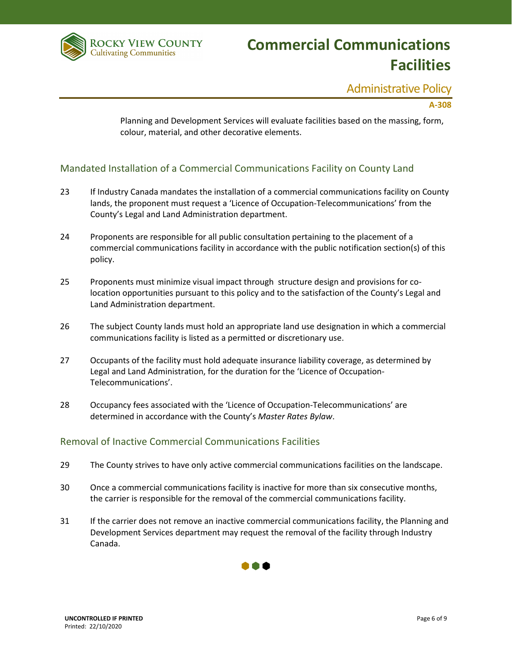

## Administrative Policy

#### **A-308**

Planning and Development Services will evaluate facilities based on the massing, form, colour, material, and other decorative elements.

#### Mandated Installation of a Commercial Communications Facility on County Land

- 23 If Industry Canada mandates the installation of a commercial communications facility on County lands, the proponent must request a 'Licence of Occupation-Telecommunications' from the County's Legal and Land Administration department.
- 24 Proponents are responsible for all public consultation pertaining to the placement of a commercial communications facility in accordance with the public notification section(s) of this policy.
- 25 Proponents must minimize visual impact through structure design and provisions for colocation opportunities pursuant to this policy and to the satisfaction of the County's Legal and Land Administration department.
- 26 The subject County lands must hold an appropriate land use designation in which a commercial communications facility is listed as a permitted or discretionary use.
- 27 Occupants of the facility must hold adequate insurance liability coverage, as determined by Legal and Land Administration, for the duration for the 'Licence of Occupation-Telecommunications'.
- 28 Occupancy fees associated with the 'Licence of Occupation-Telecommunications' are determined in accordance with the County's *Master Rates Bylaw*.

#### Removal of Inactive Commercial Communications Facilities

- 29 The County strives to have only active commercial communications facilities on the landscape.
- 30 Once a commercial communications facility is inactive for more than six consecutive months, the carrier is responsible for the removal of the commercial communications facility.
- 31 If the carrier does not remove an inactive commercial communications facility, the Planning and Development Services department may request the removal of the facility through Industry Canada.

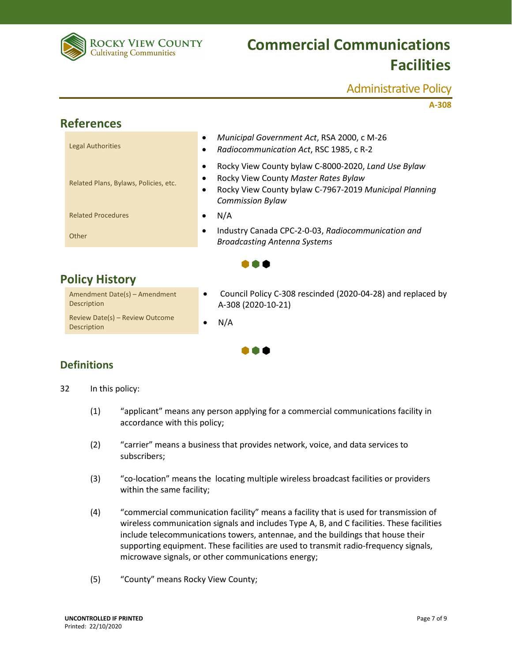

### Administrative Policy

**A-308**

| <b>References</b> |                                       |           |                                                                                                                                                                                  |  |
|-------------------|---------------------------------------|-----------|----------------------------------------------------------------------------------------------------------------------------------------------------------------------------------|--|
|                   | <b>Legal Authorities</b>              |           | Municipal Government Act, RSA 2000, c M-26<br>Radiocommunication Act, RSC 1985, c R-2                                                                                            |  |
|                   | Related Plans, Bylaws, Policies, etc. | $\bullet$ | Rocky View County bylaw C-8000-2020, Land Use Bylaw<br>Rocky View County Master Rates Bylaw<br>Rocky View County bylaw C-7967-2019 Municipal Planning<br><b>Commission Bylaw</b> |  |
|                   | <b>Related Procedures</b>             |           | N/A                                                                                                                                                                              |  |
|                   | Other                                 | $\bullet$ | Industry Canada CPC-2-0-03, Radiocommunication and<br><b>Broadcasting Antenna Systems</b>                                                                                        |  |
|                   |                                       |           |                                                                                                                                                                                  |  |

I O O

## **Policy History**

Amendment Date(s) – Amendment Description Review Date(s) – Review Outcome<br>Description

- Council Policy C-308 rescinded (2020-04-28) and replaced by A-308 (2020-10-21)
- 

## **Definitions**

- 32 In this policy:
	- (1) "applicant" means any person applying for a commercial communications facility in accordance with this policy;

 $\bullet \bullet \bullet$ 

- (2) "carrier" means a business that provides network, voice, and data services to subscribers;
- (3) "co-location" means the locating multiple wireless broadcast facilities or providers within the same facility;
- (4) "commercial communication facility" means a facility that is used for transmission of wireless communication signals and includes Type A, B, and C facilities. These facilities include telecommunications towers, antennae, and the buildings that house their supporting equipment. These facilities are used to transmit radio-frequency signals, microwave signals, or other communications energy;
- (5) "County" means Rocky View County;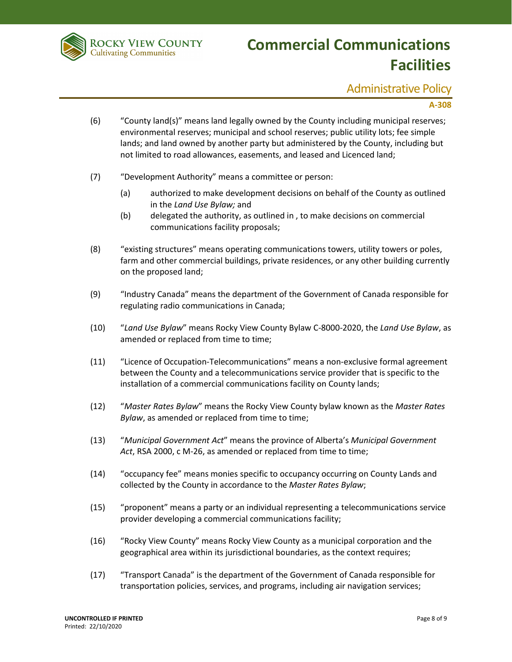

## Administrative Policy

#### **A-308**

- (6) "County land(s)" means land legally owned by the County including municipal reserves; environmental reserves; municipal and school reserves; public utility lots; fee simple lands; and land owned by another party but administered by the County, including but not limited to road allowances, easements, and leased and Licenced land;
- (7) "Development Authority" means a committee or person:
	- (a) authorized to make development decisions on behalf of the County as outlined in the *Land Use Bylaw;* and
	- (b) delegated the authority, as outlined in , to make decisions on commercial communications facility proposals;
- (8) "existing structures" means operating communications towers, utility towers or poles, farm and other commercial buildings, private residences, or any other building currently on the proposed land;
- (9) "Industry Canada" means the department of the Government of Canada responsible for regulating radio communications in Canada;
- (10) "*Land Use Bylaw*" means Rocky View County Bylaw C-8000-2020, the *Land Use Bylaw*, as amended or replaced from time to time;
- (11) "Licence of Occupation-Telecommunications" means a non-exclusive formal agreement between the County and a telecommunications service provider that is specific to the installation of a commercial communications facility on County lands;
- (12) "*Master Rates Bylaw*" means the Rocky View County bylaw known as the *Master Rates Bylaw*, as amended or replaced from time to time;
- (13) "*Municipal Government Act*" means the province of Alberta's *Municipal Government*  Act, RSA 2000, c M-26, as amended or replaced from time to time;
- (14) "occupancy fee" means monies specific to occupancy occurring on County Lands and collected by the County in accordance to the *Master Rates Bylaw*;
- (15) "proponent" means a party or an individual representing a telecommunications service provider developing a commercial communications facility;
- (16) "Rocky View County" means Rocky View County as a municipal corporation and the geographical area within its jurisdictional boundaries, as the context requires;
- (17) "Transport Canada" is the department of the Government of Canada responsible for transportation policies, services, and programs, including air navigation services;